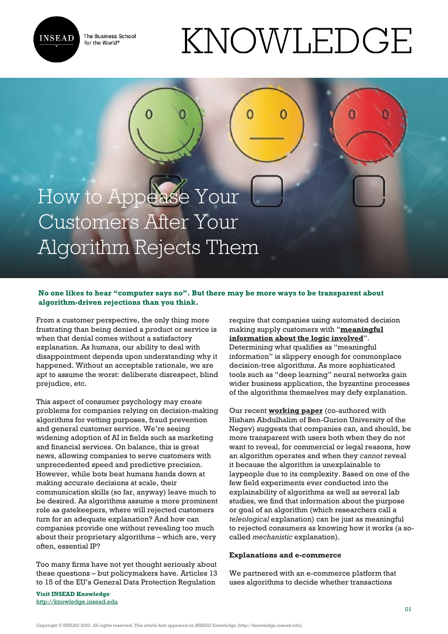

The Business School for the World<sup>®</sup>

# KNOWLEDGE

## How to Appease Your Customers After Your Algorithm Rejects Them

### **No one likes to hear "computer says no". But there may be more ways to be transparent about algorithm-driven rejections than you think.**

From a customer perspective, the only thing more frustrating than being denied a product or service is when that denial comes without a satisfactory explanation. As humans, our ability to deal with disappointment depends upon understanding why it happened. Without an acceptable rationale, we are apt to assume the worst: deliberate disrespect, blind prejudice, etc.

This aspect of consumer psychology may create problems for companies relying on decision-making algorithms for vetting purposes, fraud prevention and general customer service. We're seeing widening adoption of AI in fields such as marketing and financial services. On balance, this is great news, allowing companies to serve customers with unprecedented speed and predictive precision. However, while bots beat humans hands down at making accurate decisions at scale, their communication skills (so far, anyway) leave much to be desired. As algorithms assume a more prominent role as gatekeepers, where will rejected customers turn for an adequate explanation? And how can companies provide one without revealing too much about their proprietary algorithms – which are, very often, essential IP?

Too many firms have not yet thought seriously about these questions – but policymakers have. Articles 13 to 15 of the EU's General Data Protection Regulation

**Visit INSEAD Knowledge** <http://knowledge.insead.edu> require that companies using automated decision making supply customers with "**[meaningful](https://gdpr-info.eu/art-14-gdpr/) [information about the logic involved](https://gdpr-info.eu/art-14-gdpr/)**". Determining what qualifies as "meaningful information" is slippery enough for commonplace decision-tree algorithms. As more sophisticated tools such as "deep learning" neural networks gain wider business application, the byzantine processes of the algorithms themselves may defy explanation.

Our recent **[working paper](https://papers.ssrn.com/sol3/papers.cfm?abstract_id=3683754)** (co-authored with Hisham Abdulhalim of Ben-Gurion University of the Negev) suggests that companies can, and should, be more transparent with users both when they do not want to reveal, for commercial or legal reasons, how an algorithm operates and when they *cannot* reveal it because the algorithm is unexplainable to laypeople due to its complexity. Based on one of the few field experiments ever conducted into the explainability of algorithms as well as several lab studies, we find that information about the purpose or goal of an algorithm (which researchers call a *teleological* explanation) can be just as meaningful to rejected consumers as knowing how it works (a socalled *mechanistic* explanation).

#### **Explanations and e-commerce**

We partnered with an e-commerce platform that uses algorithms to decide whether transactions

Copyright © INSEAD 2022. All rights reserved. This article first appeared on INSEAD Knowledge (http://knowledge.insead.edu).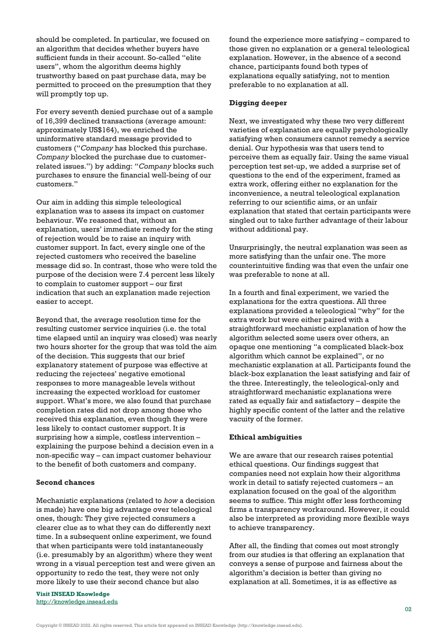should be completed. In particular, we focused on an algorithm that decides whether buyers have sufficient funds in their account. So-called "elite users", whom the algorithm deems highly trustworthy based on past purchase data, may be permitted to proceed on the presumption that they will promptly top up.

For every seventh denied purchase out of a sample of 16,399 declined transactions (average amount: approximately US\$164), we enriched the uninformative standard message provided to customers ("*Company* has blocked this purchase. *Company* blocked the purchase due to customerrelated issues.") by adding: "*Company* blocks such purchases to ensure the financial well-being of our customers."

Our aim in adding this simple teleological explanation was to assess its impact on customer behaviour. We reasoned that, without an explanation, users' immediate remedy for the sting of rejection would be to raise an inquiry with customer support. In fact, every single one of the rejected customers who received the baseline message did so. In contrast, those who were told the purpose of the decision were 7.4 percent less likely to complain to customer support – our first indication that such an explanation made rejection easier to accept.

Beyond that, the average resolution time for the resulting customer service inquiries (i.e. the total time elapsed until an inquiry was closed) was nearly two hours shorter for the group that was told the aim of the decision. This suggests that our brief explanatory statement of purpose was effective at reducing the rejectees' negative emotional responses to more manageable levels without increasing the expected workload for customer support. What's more, we also found that purchase completion rates did not drop among those who received this explanation, even though they were less likely to contact customer support. It is surprising how a simple, costless intervention – explaining the purpose behind a decision even in a non-specific way – can impact customer behaviour to the benefit of both customers and company.

#### **Second chances**

Mechanistic explanations (related to *how* a decision is made) have one big advantage over teleological ones, though: They give rejected consumers a clearer clue as to what they can do differently next time. In a subsequent online experiment, we found that when participants were told instantaneously (i.e. presumably by an algorithm) where they went wrong in a visual perception test and were given an opportunity to redo the test, they were not only more likely to use their second chance but also

**Visit INSEAD Knowledge** <http://knowledge.insead.edu> found the experience more satisfying – compared to those given no explanation or a general teleological explanation. However, in the absence of a second chance, participants found both types of explanations equally satisfying, not to mention preferable to no explanation at all.

#### **Digging deeper**

Next, we investigated why these two very different varieties of explanation are equally psychologically satisfying when consumers cannot remedy a service denial. Our hypothesis was that users tend to perceive them as equally fair. Using the same visual perception test set-up, we added a surprise set of questions to the end of the experiment, framed as extra work, offering either no explanation for the inconvenience, a neutral teleological explanation referring to our scientific aims, or an unfair explanation that stated that certain participants were singled out to take further advantage of their labour without additional pay.

Unsurprisingly, the neutral explanation was seen as more satisfying than the unfair one. The more counterintuitive finding was that even the unfair one was preferable to none at all.

In a fourth and final experiment, we varied the explanations for the extra questions. All three explanations provided a teleological "why" for the extra work but were either paired with a straightforward mechanistic explanation of how the algorithm selected some users over others, an opaque one mentioning "a complicated black-box algorithm which cannot be explained", or no mechanistic explanation at all. Participants found the black-box explanation the least satisfying and fair of the three. Interestingly, the teleological-only and straightforward mechanistic explanations were rated as equally fair and satisfactory – despite the highly specific content of the latter and the relative vacuity of the former.

#### **Ethical ambiguities**

We are aware that our research raises potential ethical questions. Our findings suggest that companies need not explain how their algorithms work in detail to satisfy rejected customers – an explanation focused on the goal of the algorithm seems to suffice. This might offer less forthcoming firms a transparency workaround. However, it could also be interpreted as providing more flexible ways to achieve transparency.

After all, the finding that comes out most strongly from our studies is that offering an explanation that conveys a sense of purpose and fairness about the algorithm's decision is better than giving no explanation at all. Sometimes, it is as effective as

Copyright © INSEAD 2022. All rights reserved. This article first appeared on INSEAD Knowledge (http://knowledge.insead.edu).